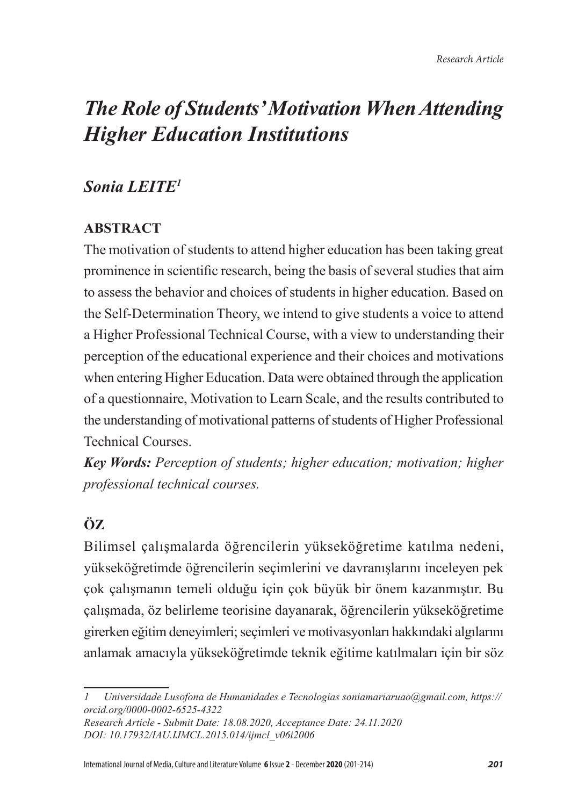# *The Role of Students' Motivation When Attending Higher Education Institutions*

# *Sonia LEITE<sup>1</sup>*

## **ABSTRACT**

The motivation of students to attend higher education has been taking great prominence in scientific research, being the basis of several studies that aim to assess the behavior and choices of students in higher education. Based on the Self-Determination Theory, we intend to give students a voice to attend a Higher Professional Technical Course, with a view to understanding their perception of the educational experience and their choices and motivations when entering Higher Education. Data were obtained through the application of a questionnaire, Motivation to Learn Scale, and the results contributed to the understanding of motivational patterns of students of Higher Professional Technical Courses.

*Key Words: Perception of students; higher education; motivation; higher professional technical courses.*

# **ÖZ**

Bilimsel çalışmalarda öğrencilerin yükseköğretime katılma nedeni, yükseköğretimde öğrencilerin seçimlerini ve davranışlarını inceleyen pek çok çalışmanın temeli olduğu için çok büyük bir önem kazanmıştır. Bu çalışmada, öz belirleme teorisine dayanarak, öğrencilerin yükseköğretime girerken eğitim deneyimleri; seçimleri ve motivasyonları hakkındaki algılarını anlamak amacıyla yükseköğretimde teknik eğitime katılmaları için bir söz

*<sup>1</sup> Universidade Lusofona de Humanidades e Tecnologias soniamariaruao@gmail.com, https:// orcid.org/0000-0002-6525-4322*

*Research Article - Submit Date: 18.08.2020, Acceptance Date: 24.11.2020 DOI: 10.17932/IAU.IJMCL.2015.014/ijmcl\_v06i2006*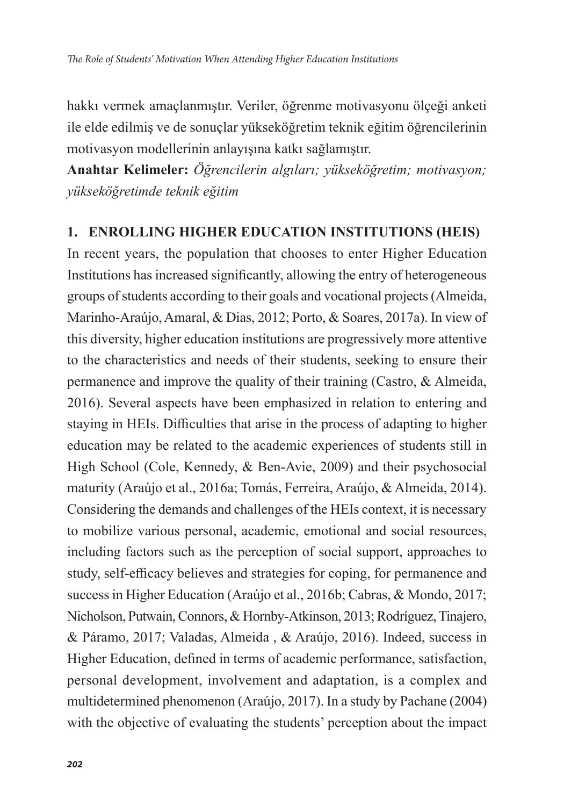hakkı vermek amaçlanmıştır. Veriler, öğrenme motivasyonu ölçeği anketi ile elde edilmiş ve de sonuçlar yükseköğretim teknik eğitim öğrencilerinin motivasyon modellerinin anlayışına katkı sağlamıştır.

**Anahtar Kelimeler:** *Öğrencilerin algıları; yükseköğretim; motivasyon; yükseköğretimde teknik eğitim*

#### **1. ENROLLING HIGHER EDUCATION INSTITUTIONS (HEIS)**

In recent years, the population that chooses to enter Higher Education Institutions has increased significantly, allowing the entry of heterogeneous groups of students according to their goals and vocational projects (Almeida, Marinho-Araújo, Amaral, & Dias, 2012; Porto, & Soares, 2017a). In view of this diversity, higher education institutions are progressively more attentive to the characteristics and needs of their students, seeking to ensure their permanence and improve the quality of their training (Castro, & Almeida, 2016). Several aspects have been emphasized in relation to entering and staying in HEIs. Difficulties that arise in the process of adapting to higher education may be related to the academic experiences of students still in High School (Cole, Kennedy, & Ben-Avie, 2009) and their psychosocial maturity (Araújo et al., 2016a; Tomás, Ferreira, Araújo, & Almeida, 2014). Considering the demands and challenges of the HEIs context, it is necessary to mobilize various personal, academic, emotional and social resources, including factors such as the perception of social support, approaches to study, self-efficacy believes and strategies for coping, for permanence and success in Higher Education (Araújo et al., 2016b; Cabras, & Mondo, 2017; Nicholson, Putwain, Connors, & Hornby-Atkinson, 2013; Rodríguez, Tinajero, & Páramo, 2017; Valadas, Almeida , & Araújo, 2016). Indeed, success in Higher Education, defined in terms of academic performance, satisfaction, personal development, involvement and adaptation, is a complex and multidetermined phenomenon (Araújo, 2017). In a study by Pachane (2004) with the objective of evaluating the students' perception about the impact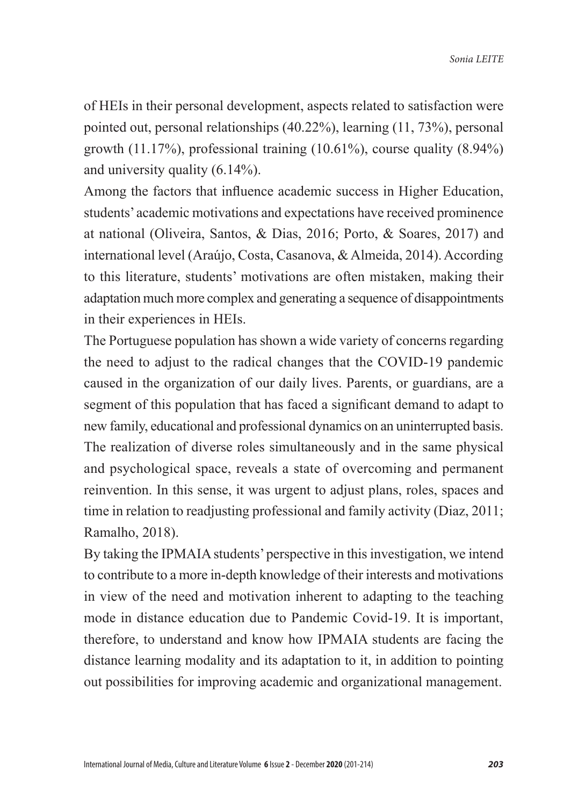of HEIs in their personal development, aspects related to satisfaction were pointed out, personal relationships (40.22%), learning (11, 73%), personal growth (11.17%), professional training (10.61%), course quality (8.94%) and university quality (6.14%).

Among the factors that influence academic success in Higher Education, students' academic motivations and expectations have received prominence at national (Oliveira, Santos, & Dias, 2016; Porto, & Soares, 2017) and international level (Araújo, Costa, Casanova, & Almeida, 2014). According to this literature, students' motivations are often mistaken, making their adaptation much more complex and generating a sequence of disappointments in their experiences in HEIs.

The Portuguese population has shown a wide variety of concerns regarding the need to adjust to the radical changes that the COVID-19 pandemic caused in the organization of our daily lives. Parents, or guardians, are a segment of this population that has faced a significant demand to adapt to new family, educational and professional dynamics on an uninterrupted basis. The realization of diverse roles simultaneously and in the same physical and psychological space, reveals a state of overcoming and permanent reinvention. In this sense, it was urgent to adjust plans, roles, spaces and time in relation to readjusting professional and family activity (Diaz, 2011; Ramalho, 2018).

By taking the IPMAIA students' perspective in this investigation, we intend to contribute to a more in-depth knowledge of their interests and motivations in view of the need and motivation inherent to adapting to the teaching mode in distance education due to Pandemic Covid-19. It is important, therefore, to understand and know how IPMAIA students are facing the distance learning modality and its adaptation to it, in addition to pointing out possibilities for improving academic and organizational management.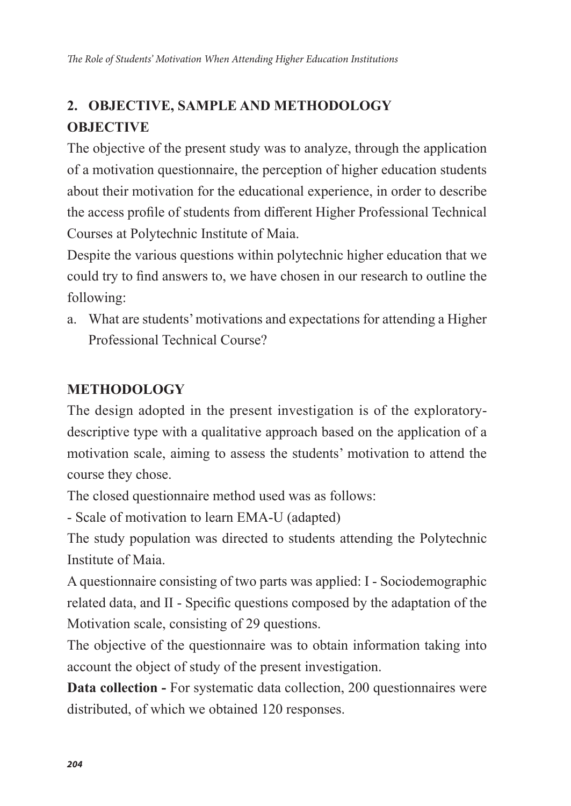# **2. OBJECTIVE, SAMPLE AND METHODOLOGY OBJECTIVE**

The objective of the present study was to analyze, through the application of a motivation questionnaire, the perception of higher education students about their motivation for the educational experience, in order to describe the access profile of students from different Higher Professional Technical Courses at Polytechnic Institute of Maia.

Despite the various questions within polytechnic higher education that we could try to find answers to, we have chosen in our research to outline the following:

a. What are students' motivations and expectations for attending a Higher Professional Technical Course?

### **METHODOLOGY**

The design adopted in the present investigation is of the exploratorydescriptive type with a qualitative approach based on the application of a motivation scale, aiming to assess the students' motivation to attend the course they chose.

The closed questionnaire method used was as follows:

- Scale of motivation to learn EMA-U (adapted)

The study population was directed to students attending the Polytechnic Institute of Maia.

A questionnaire consisting of two parts was applied: I - Sociodemographic related data, and II - Specific questions composed by the adaptation of the Motivation scale, consisting of 29 questions.

The objective of the questionnaire was to obtain information taking into account the object of study of the present investigation.

**Data collection -** For systematic data collection, 200 questionnaires were distributed, of which we obtained 120 responses.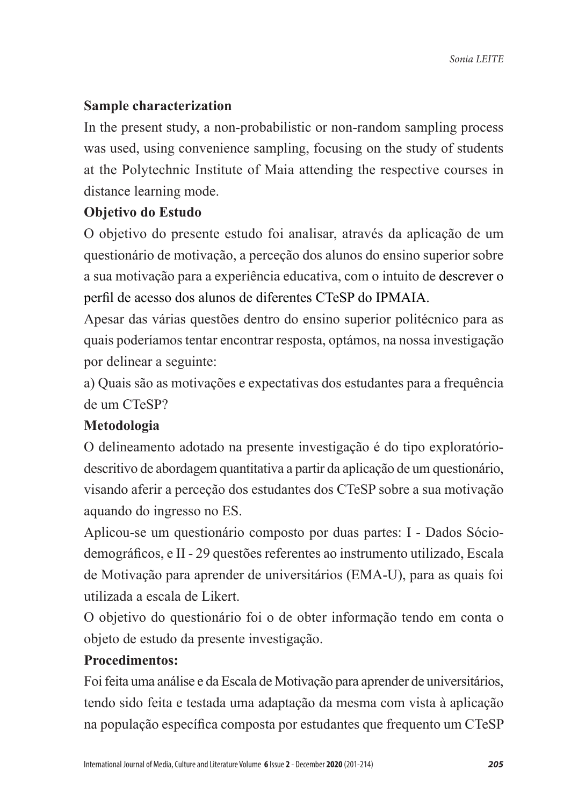### **Sample characterization**

In the present study, a non-probabilistic or non-random sampling process was used, using convenience sampling, focusing on the study of students at the Polytechnic Institute of Maia attending the respective courses in distance learning mode.

#### **Objetivo do Estudo**

O objetivo do presente estudo foi analisar, através da aplicação de um questionário de motivação, a perceção dos alunos do ensino superior sobre a sua motivação para a experiência educativa, com o intuito de descrever o perfil de acesso dos alunos de diferentes CTeSP do IPMAIA.

Apesar das várias questões dentro do ensino superior politécnico para as quais poderíamos tentar encontrar resposta, optámos, na nossa investigação por delinear a seguinte:

a) Quais são as motivações e expectativas dos estudantes para a frequência de um CTeSP?

#### **Metodologia**

O delineamento adotado na presente investigação é do tipo exploratóriodescritivo de abordagem quantitativa a partir da aplicação de um questionário, visando aferir a perceção dos estudantes dos CTeSP sobre a sua motivação aquando do ingresso no ES.

Aplicou-se um questionário composto por duas partes: I - Dados Sóciodemográficos, e II - 29 questões referentes ao instrumento utilizado, Escala de Motivação para aprender de universitários (EMA-U), para as quais foi utilizada a escala de Likert.

O objetivo do questionário foi o de obter informação tendo em conta o objeto de estudo da presente investigação.

#### **Procedimentos:**

Foi feita uma análise e da Escala de Motivação para aprender de universitários, tendo sido feita e testada uma adaptação da mesma com vista à aplicação na população específica composta por estudantes que frequento um CTeSP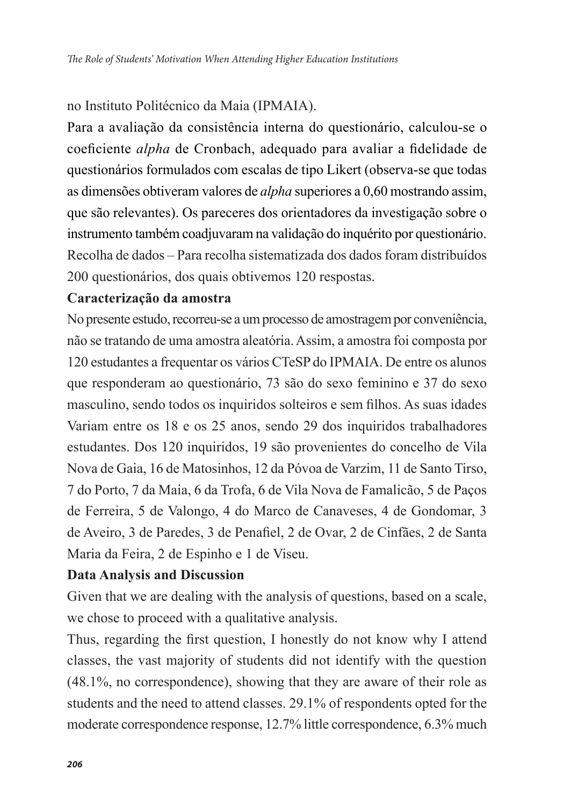#### no Instituto Politécnico da Maia (IPMAIA).

Para a avaliação da consistência interna do questionário, calculou-se o coeficiente *alpha* de Cronbach, adequado para avaliar a fidelidade de questionários formulados com escalas de tipo Likert (observa-se que todas as dimensões obtiveram valores de *alpha* superiores a 0,60 mostrando assim, que são relevantes). Os pareceres dos orientadores da investigação sobre o instrumento também coadjuvaram na validação do inquérito por questionário. Recolha de dados – Para recolha sistematizada dos dados foram distribuídos 200 questionários, dos quais obtivemos 120 respostas.

#### **Caracterização da amostra**

No presente estudo, recorreu-se a um processo de amostragem por conveniência, não se tratando de uma amostra aleatória. Assim, a amostra foi composta por 120 estudantes a frequentar os vários CTeSP do IPMAIA. De entre os alunos que responderam ao questionário, 73 são do sexo feminino e 37 do sexo masculino, sendo todos os inquiridos solteiros e sem filhos. As suas idades Variam entre os 18 e os 25 anos, sendo 29 dos inquiridos trabalhadores estudantes. Dos 120 inquiridos, 19 são provenientes do concelho de Vila Nova de Gaia, 16 de Matosinhos, 12 da Póvoa de Varzim, 11 de Santo Tirso, 7 do Porto, 7 da Maia, 6 da Trofa, 6 de Vila Nova de Famalicão, 5 de Paços de Ferreira, 5 de Valongo, 4 do Marco de Canaveses, 4 de Gondomar, 3 de Aveiro, 3 de Paredes, 3 de Penafiel, 2 de Ovar, 2 de Cinfães, 2 de Santa Maria da Feira, 2 de Espinho e 1 de Viseu.

#### **Data Analysis and Discussion**

Given that we are dealing with the analysis of questions, based on a scale, we chose to proceed with a qualitative analysis.

Thus, regarding the first question, I honestly do not know why I attend classes, the vast majority of students did not identify with the question (48.1%, no correspondence), showing that they are aware of their role as students and the need to attend classes. 29.1% of respondents opted for the moderate correspondence response, 12.7% little correspondence, 6.3% much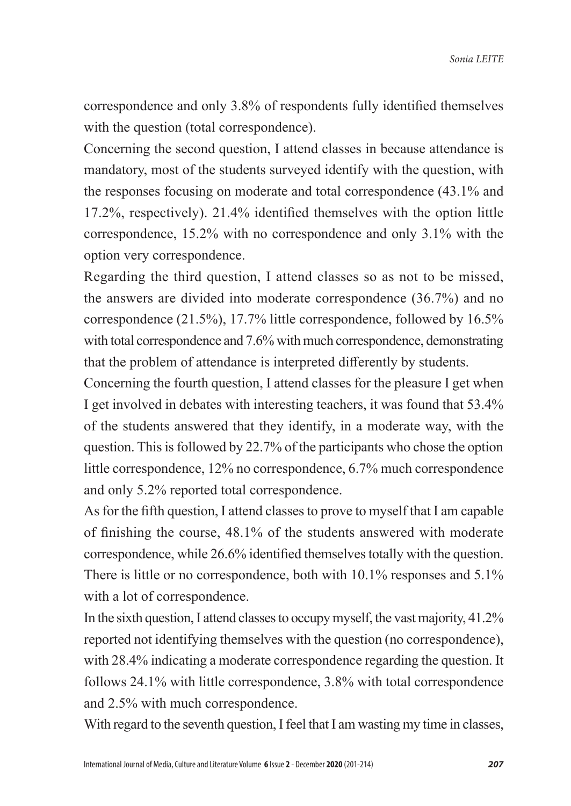correspondence and only 3.8% of respondents fully identified themselves with the question (total correspondence).

Concerning the second question, I attend classes in because attendance is mandatory, most of the students surveyed identify with the question, with the responses focusing on moderate and total correspondence (43.1% and 17.2%, respectively). 21.4% identified themselves with the option little correspondence, 15.2% with no correspondence and only 3.1% with the option very correspondence.

Regarding the third question, I attend classes so as not to be missed, the answers are divided into moderate correspondence (36.7%) and no correspondence (21.5%), 17.7% little correspondence, followed by 16.5% with total correspondence and 7.6% with much correspondence, demonstrating that the problem of attendance is interpreted differently by students.

Concerning the fourth question, I attend classes for the pleasure I get when I get involved in debates with interesting teachers, it was found that 53.4% of the students answered that they identify, in a moderate way, with the question. This is followed by 22.7% of the participants who chose the option little correspondence, 12% no correspondence, 6.7% much correspondence and only 5.2% reported total correspondence.

As for the fifth question, I attend classes to prove to myself that I am capable of finishing the course, 48.1% of the students answered with moderate correspondence, while 26.6% identified themselves totally with the question. There is little or no correspondence, both with 10.1% responses and 5.1% with a lot of correspondence.

In the sixth question, I attend classes to occupy myself, the vast majority, 41.2% reported not identifying themselves with the question (no correspondence), with 28.4% indicating a moderate correspondence regarding the question. It follows 24.1% with little correspondence, 3.8% with total correspondence and 2.5% with much correspondence.

With regard to the seventh question, I feel that I am wasting my time in classes,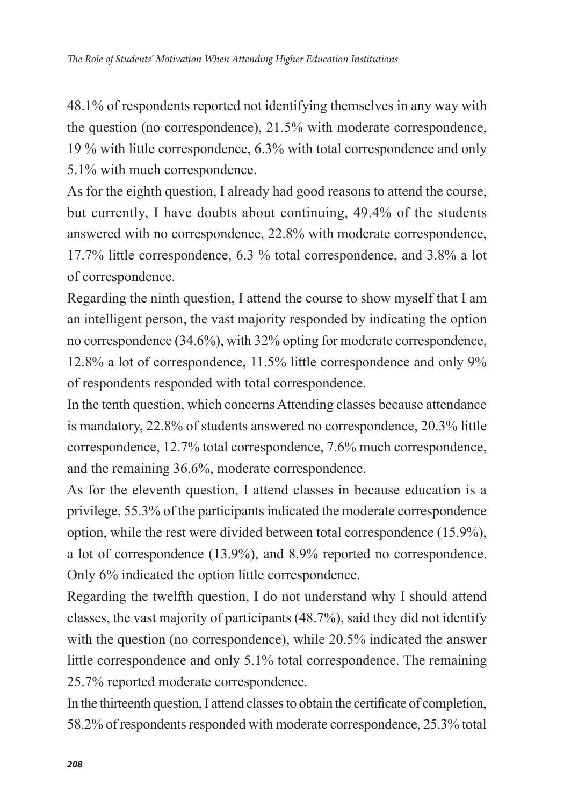48.1% of respondents reported not identifying themselves in any way with the question (no correspondence), 21.5% with moderate correspondence, 19 % with little correspondence, 6.3% with total correspondence and only 5.1% with much correspondence.

As for the eighth question, I already had good reasons to attend the course, but currently, I have doubts about continuing, 49.4% of the students answered with no correspondence, 22.8% with moderate correspondence, 17.7% little correspondence, 6.3 % total correspondence, and 3.8% a lot of correspondence.

Regarding the ninth question, I attend the course to show myself that I am an intelligent person, the vast majority responded by indicating the option no correspondence (34.6%), with 32% opting for moderate correspondence, 12.8% a lot of correspondence, 11.5% little correspondence and only 9% of respondents responded with total correspondence.

In the tenth question, which concerns Attending classes because attendance is mandatory, 22.8% of students answered no correspondence, 20.3% little correspondence, 12.7% total correspondence, 7.6% much correspondence, and the remaining 36.6%, moderate correspondence.

As for the eleventh question, I attend classes in because education is a privilege, 55.3% of the participants indicated the moderate correspondence option, while the rest were divided between total correspondence (15.9%), a lot of correspondence (13.9%), and 8.9% reported no correspondence. Only 6% indicated the option little correspondence.

Regarding the twelfth question, I do not understand why I should attend classes, the vast majority of participants (48.7%), said they did not identify with the question (no correspondence), while 20.5% indicated the answer little correspondence and only 5.1% total correspondence. The remaining 25.7% reported moderate correspondence.

In the thirteenth question, I attend classes to obtain the certificate of completion, 58.2% of respondents responded with moderate correspondence, 25.3% total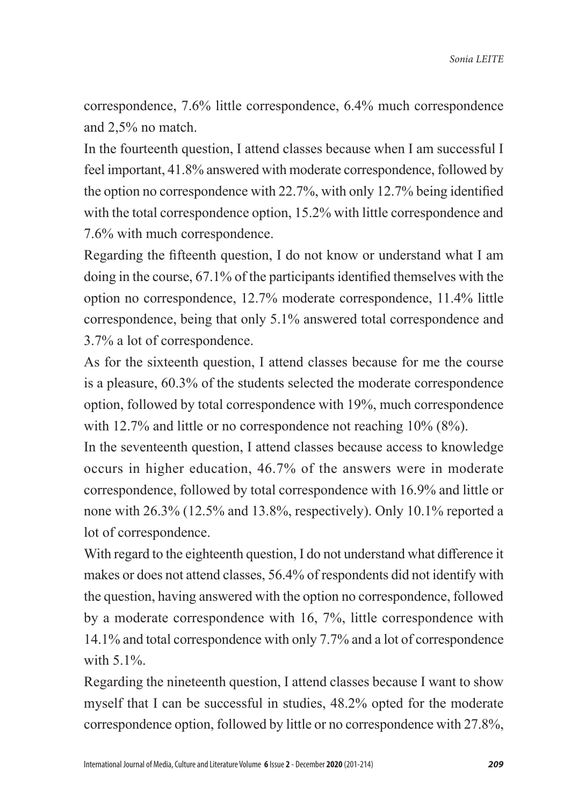correspondence, 7.6% little correspondence, 6.4% much correspondence and 2,5% no match.

In the fourteenth question, I attend classes because when I am successful I feel important, 41.8% answered with moderate correspondence, followed by the option no correspondence with 22.7%, with only 12.7% being identified with the total correspondence option, 15.2% with little correspondence and 7.6% with much correspondence.

Regarding the fifteenth question, I do not know or understand what I am doing in the course, 67.1% of the participants identified themselves with the option no correspondence, 12.7% moderate correspondence, 11.4% little correspondence, being that only 5.1% answered total correspondence and 3.7% a lot of correspondence.

As for the sixteenth question, I attend classes because for me the course is a pleasure, 60.3% of the students selected the moderate correspondence option, followed by total correspondence with 19%, much correspondence with 12.7% and little or no correspondence not reaching 10% (8%).

In the seventeenth question, I attend classes because access to knowledge occurs in higher education, 46.7% of the answers were in moderate correspondence, followed by total correspondence with 16.9% and little or none with 26.3% (12.5% and 13.8%, respectively). Only 10.1% reported a lot of correspondence.

With regard to the eighteenth question, I do not understand what difference it makes or does not attend classes, 56.4% of respondents did not identify with the question, having answered with the option no correspondence, followed by a moderate correspondence with 16, 7%, little correspondence with 14.1% and total correspondence with only 7.7% and a lot of correspondence with 5.1%.

Regarding the nineteenth question, I attend classes because I want to show myself that I can be successful in studies, 48.2% opted for the moderate correspondence option, followed by little or no correspondence with 27.8%,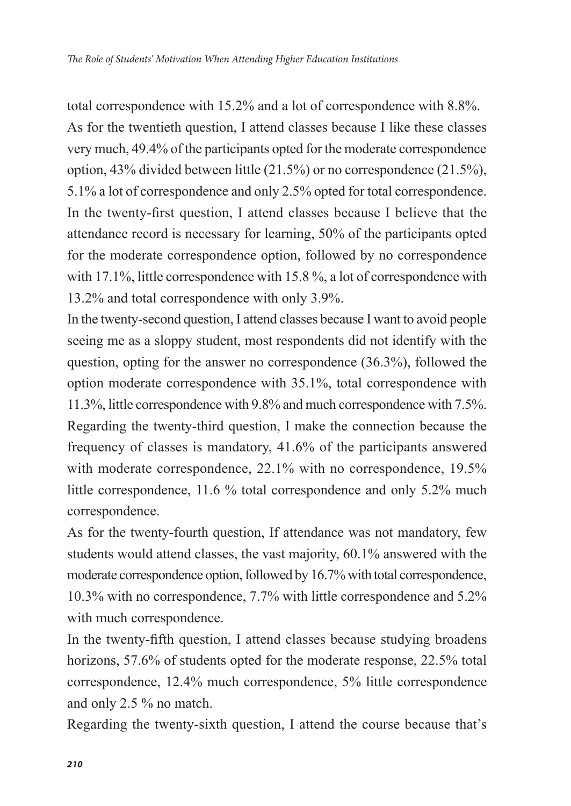total correspondence with 15.2% and a lot of correspondence with 8.8%. As for the twentieth question, I attend classes because I like these classes very much, 49.4% of the participants opted for the moderate correspondence option, 43% divided between little (21.5%) or no correspondence (21.5%), 5.1% a lot of correspondence and only 2.5% opted for total correspondence. In the twenty-first question, I attend classes because I believe that the attendance record is necessary for learning, 50% of the participants opted for the moderate correspondence option, followed by no correspondence with 17.1%, little correspondence with 15.8%, a lot of correspondence with 13.2% and total correspondence with only 3.9%.

In the twenty-second question, I attend classes because I want to avoid people seeing me as a sloppy student, most respondents did not identify with the question, opting for the answer no correspondence (36.3%), followed the option moderate correspondence with 35.1%, total correspondence with 11.3%, little correspondence with 9.8% and much correspondence with 7.5%. Regarding the twenty-third question, I make the connection because the frequency of classes is mandatory, 41.6% of the participants answered with moderate correspondence, 22.1% with no correspondence, 19.5% little correspondence, 11.6 % total correspondence and only 5.2% much correspondence.

As for the twenty-fourth question, If attendance was not mandatory, few students would attend classes, the vast majority, 60.1% answered with the moderate correspondence option, followed by 16.7% with total correspondence, 10.3% with no correspondence, 7.7% with little correspondence and 5.2% with much correspondence.

In the twenty-fifth question, I attend classes because studying broadens horizons, 57.6% of students opted for the moderate response, 22.5% total correspondence, 12.4% much correspondence, 5% little correspondence and only 2.5 % no match.

Regarding the twenty-sixth question, I attend the course because that's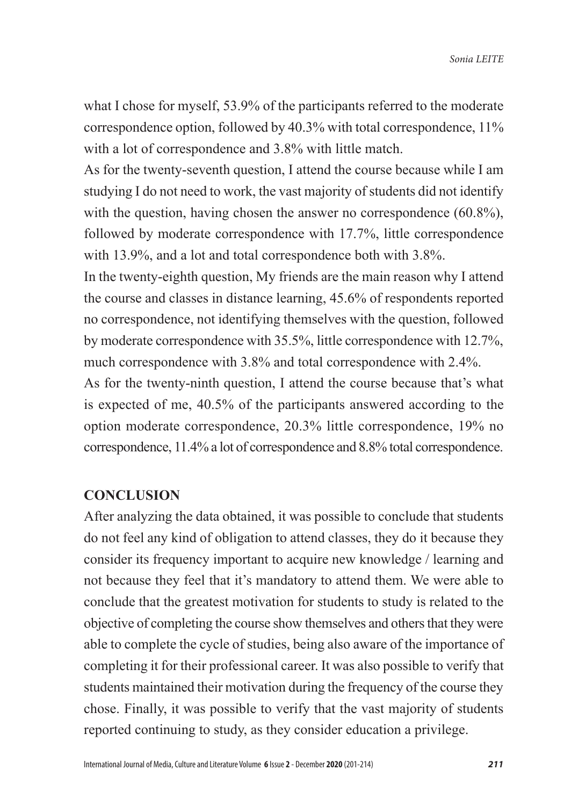what I chose for myself, 53.9% of the participants referred to the moderate correspondence option, followed by 40.3% with total correspondence, 11% with a lot of correspondence and 3.8% with little match.

As for the twenty-seventh question, I attend the course because while I am studying I do not need to work, the vast majority of students did not identify with the question, having chosen the answer no correspondence (60.8%), followed by moderate correspondence with 17.7%, little correspondence with 13.9%, and a lot and total correspondence both with 3.8%.

In the twenty-eighth question, My friends are the main reason why I attend the course and classes in distance learning, 45.6% of respondents reported no correspondence, not identifying themselves with the question, followed by moderate correspondence with 35.5%, little correspondence with 12.7%, much correspondence with 3.8% and total correspondence with 2.4%.

As for the twenty-ninth question, I attend the course because that's what is expected of me, 40.5% of the participants answered according to the option moderate correspondence, 20.3% little correspondence, 19% no correspondence, 11.4% a lot of correspondence and 8.8% total correspondence.

#### **CONCLUSION**

After analyzing the data obtained, it was possible to conclude that students do not feel any kind of obligation to attend classes, they do it because they consider its frequency important to acquire new knowledge / learning and not because they feel that it's mandatory to attend them. We were able to conclude that the greatest motivation for students to study is related to the objective of completing the course show themselves and others that they were able to complete the cycle of studies, being also aware of the importance of completing it for their professional career. It was also possible to verify that students maintained their motivation during the frequency of the course they chose. Finally, it was possible to verify that the vast majority of students reported continuing to study, as they consider education a privilege.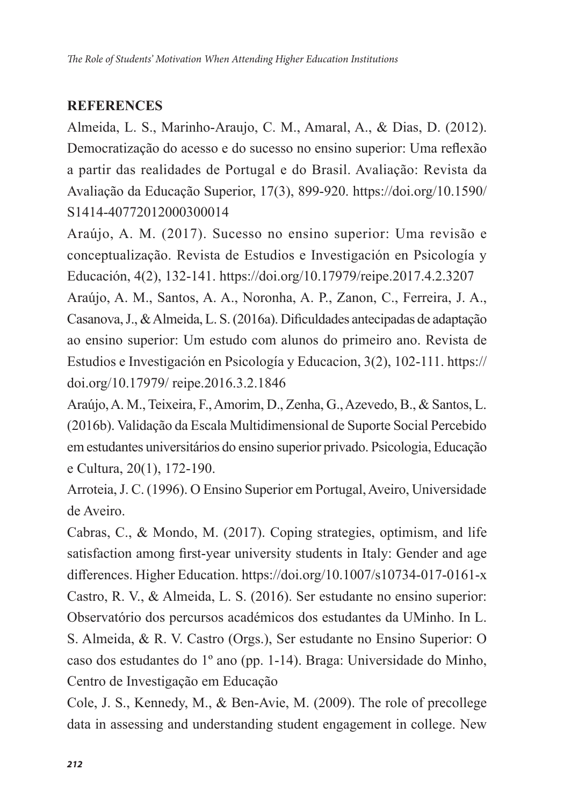## **REFERENCES**

Almeida, L. S., Marinho-Araujo, C. M., Amaral, A., & Dias, D. (2012). Democratização do acesso e do sucesso no ensino superior: Uma reflexão a partir das realidades de Portugal e do Brasil. Avaliação: Revista da Avaliação da Educação Superior, 17(3), 899-920. https://doi.org/10.1590/ S1414-40772012000300014

Araújo, A. M. (2017). Sucesso no ensino superior: Uma revisão e conceptualização. Revista de Estudios e Investigación en Psicología y Educación, 4(2), 132-141. https://doi.org/10.17979/reipe.2017.4.2.3207

Araújo, A. M., Santos, A. A., Noronha, A. P., Zanon, C., Ferreira, J. A., Casanova, J., & Almeida, L. S. (2016a). Dificuldades antecipadas de adaptação ao ensino superior: Um estudo com alunos do primeiro ano. Revista de Estudios e Investigación en Psicología y Educacion, 3(2), 102-111. https:// doi.org/10.17979/ reipe.2016.3.2.1846

Araújo, A. M., Teixeira, F., Amorim, D., Zenha, G., Azevedo, B., & Santos, L. (2016b). Validação da Escala Multidimensional de Suporte Social Percebido em estudantes universitários do ensino superior privado. Psicologia, Educação e Cultura, 20(1), 172-190.

Arroteia, J. C. (1996). O Ensino Superior em Portugal, Aveiro, Universidade de Aveiro.

Cabras, C., & Mondo, M. (2017). Coping strategies, optimism, and life satisfaction among first-year university students in Italy: Gender and age differences. Higher Education. https://doi.org/10.1007/s10734-017-0161-x Castro, R. V., & Almeida, L. S. (2016). Ser estudante no ensino superior: Observatório dos percursos académicos dos estudantes da UMinho. In L. S. Almeida, & R. V. Castro (Orgs.), Ser estudante no Ensino Superior: O caso dos estudantes do 1º ano (pp. 1-14). Braga: Universidade do Minho, Centro de Investigação em Educação

Cole, J. S., Kennedy, M., & Ben-Avie, M. (2009). The role of precollege data in assessing and understanding student engagement in college. New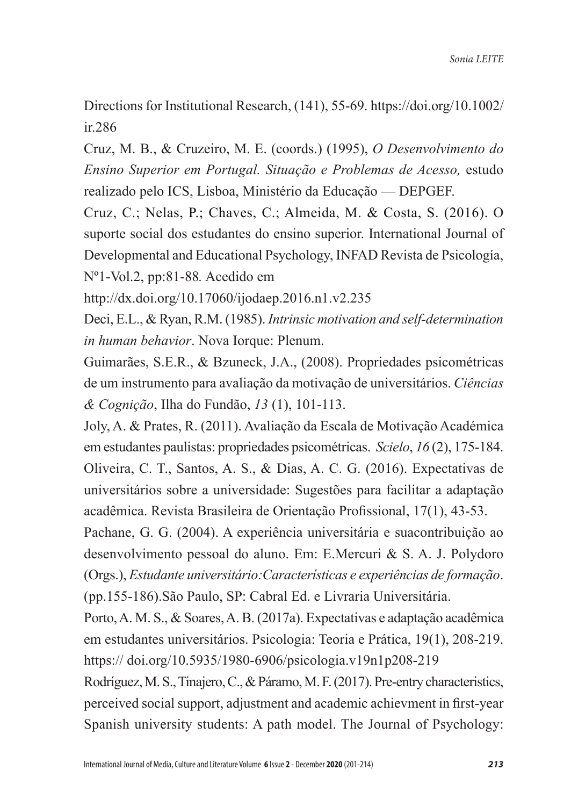Directions for Institutional Research, (141), 55-69. https://doi.org/10.1002/ ir.286

Cruz, M. B., & Cruzeiro, M. E. (coords.) (1995), *O Desenvolvimento do Ensino Superior em Portugal. Situação e Problemas de Acesso,* estudo realizado pelo ICS, Lisboa, Ministério da Educação — DEPGEF.

Cruz, C.; Nelas, P.; Chaves, C.; Almeida, M. & Costa, S. (2016). O suporte social dos estudantes do ensino superior. International Journal of Developmental and Educational Psychology, INFAD Revista de Psicología, Nº1-Vol.2, pp:81-88*.* Acedido em

http://dx.doi.org/10.17060/ijodaep.2016.n1.v2.235

Deci, E.L., & Ryan, R.M. (1985). *Intrinsic motivation and self-determination in human behavior*. Nova Iorque: Plenum.

Guimarães, S.E.R., & Bzuneck, J.A., (2008). Propriedades psicométricas de um instrumento para avaliação da motivação de universitários. *Ciências & Cognição*, Ilha do Fundão, *13* (1), 101-113.

Joly, A. & Prates, R. (2011). Avaliação da Escala de Motivação Académica em estudantes paulistas: propriedades psicométricas. *Scielo*, *16* (2), 175-184. Oliveira, C. T., Santos, A. S., & Dias, A. C. G. (2016). Expectativas de universitários sobre a universidade: Sugestões para facilitar a adaptação acadêmica. Revista Brasileira de Orientação Profissional, 17(1), 43-53.

Pachane, G. G. (2004). A experiência universitária e suacontribuição ao desenvolvimento pessoal do aluno. Em: E.Mercuri & S. A. J. Polydoro (Orgs.), *Estudante universitário:Características e experiências de formação*. (pp.155-186).São Paulo, SP: Cabral Ed. e Livraria Universitária.

Porto, A. M. S., & Soares, A. B. (2017a). Expectativas e adaptação acadêmica em estudantes universitários. Psicologia: Teoria e Prática, 19(1), 208-219. https:// doi.org/10.5935/1980-6906/psicologia.v19n1p208-219

Rodríguez, M. S., Tinajero, C., & Páramo, M. F. (2017). Pre-entry characteristics, perceived social support, adjustment and academic achievment in first-year Spanish university students: A path model. The Journal of Psychology: